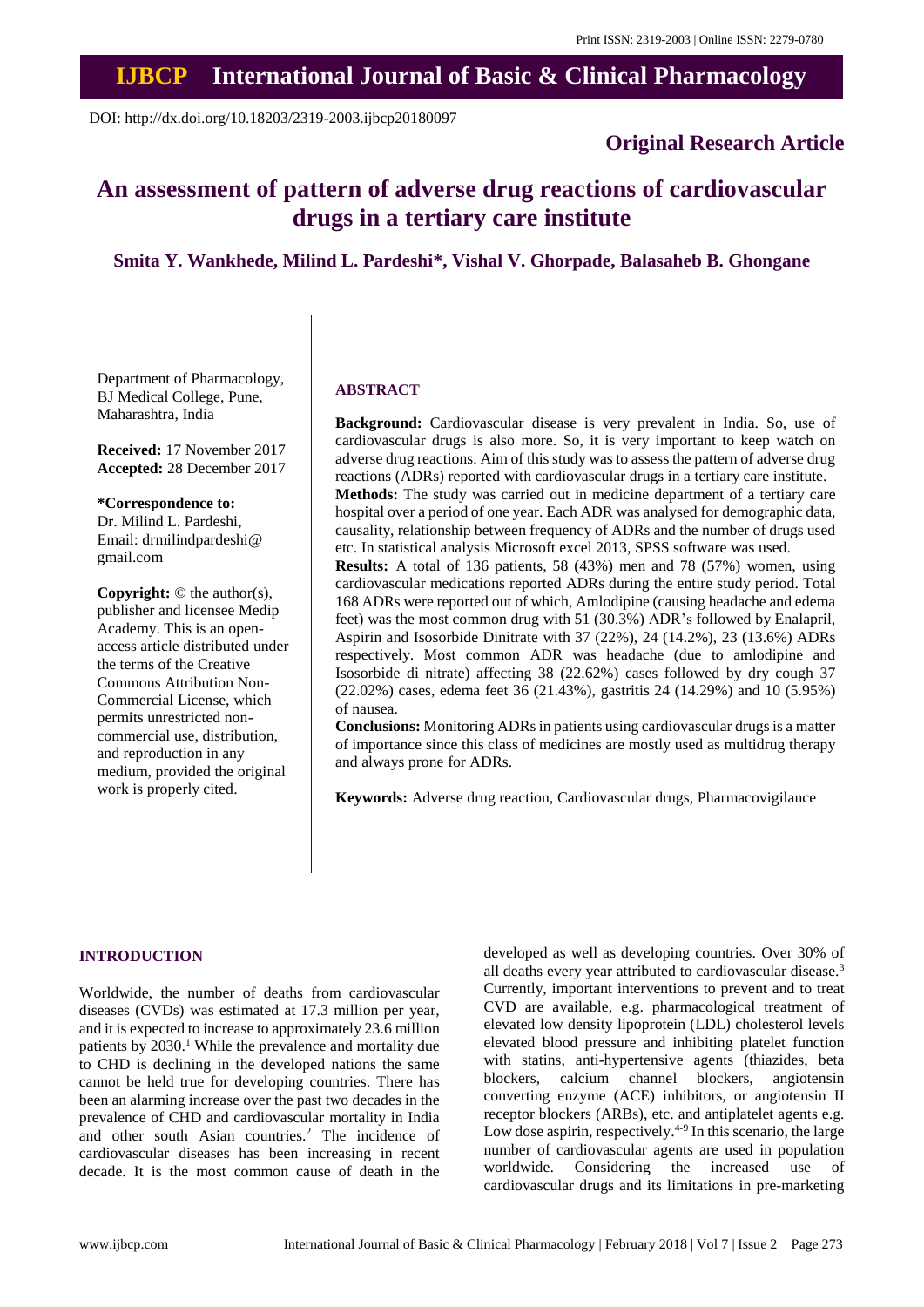# **IJBCP International Journal of Basic & Clinical Pharmacology**

DOI: http://dx.doi.org/10.18203/2319-2003.ijbcp20180097

### **Original Research Article**

## **An assessment of pattern of adverse drug reactions of cardiovascular drugs in a tertiary care institute**

**Smita Y. Wankhede, Milind L. Pardeshi\*, Vishal V. Ghorpade, Balasaheb B. Ghongane**

Department of Pharmacology, BJ Medical College, Pune, Maharashtra, India

**Received:** 17 November 2017 **Accepted:** 28 December 2017

**\*Correspondence to:**

Dr. Milind L. Pardeshi, Email: drmilindpardeshi@ gmail.com

**Copyright:** © the author(s), publisher and licensee Medip Academy. This is an openaccess article distributed under the terms of the Creative Commons Attribution Non-Commercial License, which permits unrestricted noncommercial use, distribution, and reproduction in any medium, provided the original work is properly cited.

#### **ABSTRACT**

**Background:** Cardiovascular disease is very prevalent in India. So, use of cardiovascular drugs is also more. So, it is very important to keep watch on adverse drug reactions. Aim of this study was to assess the pattern of adverse drug reactions (ADRs) reported with cardiovascular drugs in a tertiary care institute. **Methods:** The study was carried out in medicine department of a tertiary care

hospital over a period of one year. Each ADR was analysed for demographic data, causality, relationship between frequency of ADRs and the number of drugs used etc. In statistical analysis Microsoft excel 2013, SPSS software was used.

**Results:** A total of 136 patients, 58 (43%) men and 78 (57%) women, using cardiovascular medications reported ADRs during the entire study period. Total 168 ADRs were reported out of which, Amlodipine (causing headache and edema feet) was the most common drug with 51 (30.3%) ADR's followed by Enalapril, Aspirin and Isosorbide Dinitrate with 37 (22%), 24 (14.2%), 23 (13.6%) ADRs respectively. Most common ADR was headache (due to amlodipine and Isosorbide di nitrate) affecting 38 (22.62%) cases followed by dry cough 37 (22.02%) cases, edema feet 36 (21.43%), gastritis 24 (14.29%) and 10 (5.95%) of nausea.

**Conclusions:** Monitoring ADRs in patients using cardiovascular drugs is a matter of importance since this class of medicines are mostly used as multidrug therapy and always prone for ADRs.

**Keywords:** Adverse drug reaction, Cardiovascular drugs, Pharmacovigilance

#### **INTRODUCTION**

Worldwide, the number of deaths from cardiovascular diseases (CVDs) was estimated at 17.3 million per year, and it is expected to increase to approximately 23.6 million patients by 2030.<sup>1</sup> While the prevalence and mortality due to CHD is declining in the developed nations the same cannot be held true for developing countries. There has been an alarming increase over the past two decades in the prevalence of CHD and cardiovascular mortality in India and other south Asian countries.<sup>2</sup> The incidence of cardiovascular diseases has been increasing in recent decade. It is the most common cause of death in the developed as well as developing countries. Over 30% of all deaths every year attributed to cardiovascular disease.<sup>3</sup> Currently, important interventions to prevent and to treat CVD are available, e.g. pharmacological treatment of elevated low density lipoprotein (LDL) cholesterol levels elevated blood pressure and inhibiting platelet function with statins, anti-hypertensive agents (thiazides, beta blockers, calcium channel blockers, angiotensin converting enzyme (ACE) inhibitors, or angiotensin II receptor blockers (ARBs), etc. and antiplatelet agents e.g. Low dose aspirin, respectively. $4-9$  In this scenario, the large number of cardiovascular agents are used in population worldwide. Considering the increased use of cardiovascular drugs and its limitations in pre-marketing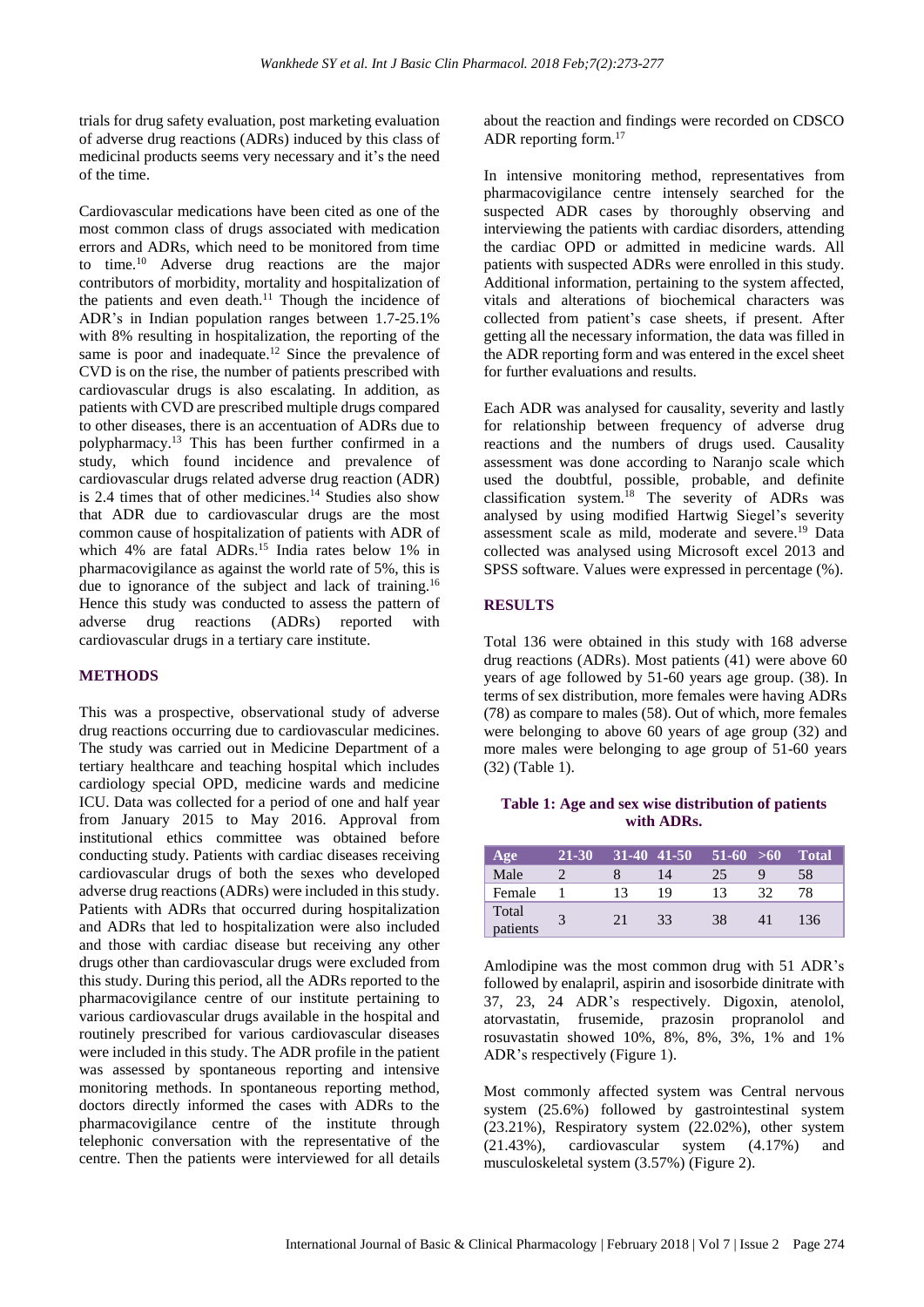trials for drug safety evaluation, post marketing evaluation of adverse drug reactions (ADRs) induced by this class of medicinal products seems very necessary and it's the need of the time.

Cardiovascular medications have been cited as one of the most common class of drugs associated with medication errors and ADRs, which need to be monitored from time to time.<sup>10</sup> Adverse drug reactions are the major contributors of morbidity, mortality and hospitalization of the patients and even death.<sup>11</sup> Though the incidence of ADR's in Indian population ranges between 1.7-25.1% with 8% resulting in hospitalization, the reporting of the same is poor and inadequate.<sup>12</sup> Since the prevalence of CVD is on the rise, the number of patients prescribed with cardiovascular drugs is also escalating. In addition, as patients with CVD are prescribed multiple drugs compared to other diseases, there is an accentuation of ADRs due to polypharmacy.<sup>13</sup> This has been further confirmed in a study, which found incidence and prevalence of cardiovascular drugs related adverse drug reaction (ADR) is 2.4 times that of other medicines.<sup>14</sup> Studies also show that ADR due to cardiovascular drugs are the most common cause of hospitalization of patients with ADR of which 4% are fatal ADRs.<sup>15</sup> India rates below 1% in pharmacovigilance as against the world rate of 5%, this is due to ignorance of the subject and lack of training.<sup>16</sup> Hence this study was conducted to assess the pattern of adverse drug reactions (ADRs) reported with cardiovascular drugs in a tertiary care institute.

#### **METHODS**

This was a prospective, observational study of adverse drug reactions occurring due to cardiovascular medicines. The study was carried out in Medicine Department of a tertiary healthcare and teaching hospital which includes cardiology special OPD, medicine wards and medicine ICU. Data was collected for a period of one and half year from January 2015 to May 2016. Approval from institutional ethics committee was obtained before conducting study. Patients with cardiac diseases receiving cardiovascular drugs of both the sexes who developed adverse drug reactions (ADRs) were included in this study. Patients with ADRs that occurred during hospitalization and ADRs that led to hospitalization were also included and those with cardiac disease but receiving any other drugs other than cardiovascular drugs were excluded from this study. During this period, all the ADRs reported to the pharmacovigilance centre of our institute pertaining to various cardiovascular drugs available in the hospital and routinely prescribed for various cardiovascular diseases were included in this study. The ADR profile in the patient was assessed by spontaneous reporting and intensive monitoring methods. In spontaneous reporting method, doctors directly informed the cases with ADRs to the pharmacovigilance centre of the institute through telephonic conversation with the representative of the centre. Then the patients were interviewed for all details about the reaction and findings were recorded on CDSCO ADR reporting form.<sup>17</sup>

In intensive monitoring method, representatives from pharmacovigilance centre intensely searched for the suspected ADR cases by thoroughly observing and interviewing the patients with cardiac disorders, attending the cardiac OPD or admitted in medicine wards. All patients with suspected ADRs were enrolled in this study. Additional information, pertaining to the system affected, vitals and alterations of biochemical characters was collected from patient's case sheets, if present. After getting all the necessary information, the data was filled in the ADR reporting form and was entered in the excel sheet for further evaluations and results.

Each ADR was analysed for causality, severity and lastly for relationship between frequency of adverse drug reactions and the numbers of drugs used. Causality assessment was done according to Naranjo scale which used the doubtful, possible, probable, and definite classification system.<sup>18</sup> The severity of ADRs was analysed by using modified Hartwig Siegel's severity assessment scale as mild, moderate and severe.<sup>19</sup> Data collected was analysed using Microsoft excel 2013 and SPSS software. Values were expressed in percentage (%).

#### **RESULTS**

Total 136 were obtained in this study with 168 adverse drug reactions (ADRs). Most patients (41) were above 60 years of age followed by 51-60 years age group. (38). In terms of sex distribution, more females were having ADRs (78) as compare to males (58). Out of which, more females were belonging to above 60 years of age group (32) and more males were belonging to age group of 51-60 years (32) (Table 1).

#### **Table 1: Age and sex wise distribution of patients with ADRs.**

| Age               | 21-30 |     | $31-40$ 41-50 | $51-60 > 60$ |    | <b>Total</b> |
|-------------------|-------|-----|---------------|--------------|----|--------------|
| Male              |       |     | 14            | 25           |    | 58           |
| Female            |       |     | 19            | 13           | 20 | 78           |
| Total<br>patients |       | 2.1 | 33            | 38           | 41 | 136          |

Amlodipine was the most common drug with 51 ADR's followed by enalapril, aspirin and isosorbide dinitrate with 37, 23, 24 ADR's respectively. Digoxin, atenolol, atorvastatin, frusemide, prazosin propranolol and rosuvastatin showed 10%, 8%, 8%, 3%, 1% and 1% ADR's respectively (Figure 1).

Most commonly affected system was Central nervous system (25.6%) followed by gastrointestinal system (23.21%), Respiratory system (22.02%), other system (21.43%), cardiovascular system (4.17%) and musculoskeletal system (3.57%) (Figure 2).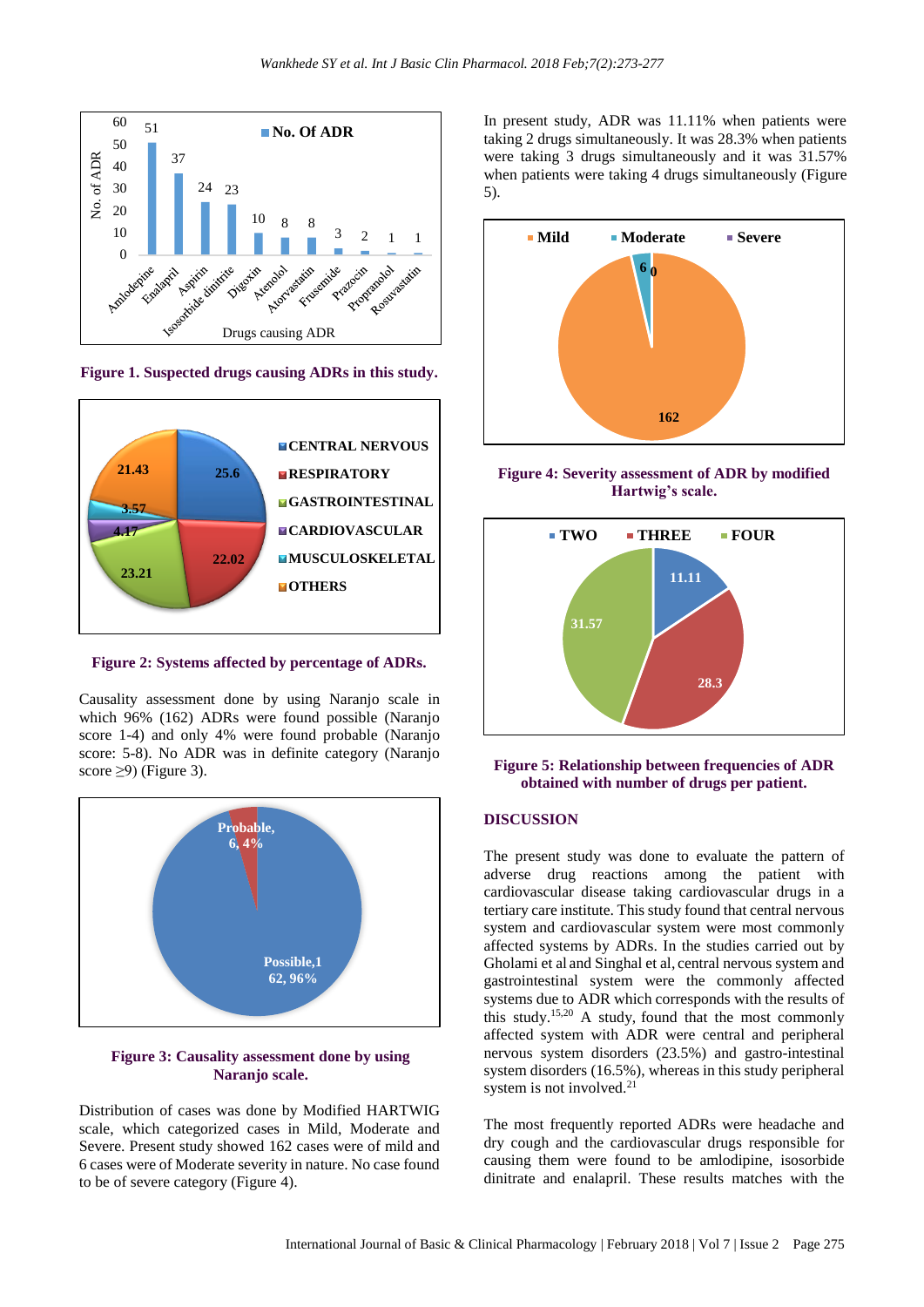

**Figure 1. Suspected drugs causing ADRs in this study.**



**Figure 2: Systems affected by percentage of ADRs.**

Causality assessment done by using Naranjo scale in which 96% (162) ADRs were found possible (Naranjo score 1-4) and only 4% were found probable (Naranjo score: 5-8). No ADR was in definite category (Naranjo score  $\geq$ 9) (Figure 3).



#### **Figure 3: Causality assessment done by using Naranjo scale.**

Distribution of cases was done by Modified HARTWIG scale, which categorized cases in Mild, Moderate and Severe. Present study showed 162 cases were of mild and 6 cases were of Moderate severity in nature. No case found to be of severe category (Figure 4).

In present study, ADR was 11.11% when patients were taking 2 drugs simultaneously. It was 28.3% when patients were taking 3 drugs simultaneously and it was 31.57% when patients were taking 4 drugs simultaneously (Figure 5).



**Figure 4: Severity assessment of ADR by modified Hartwig's scale.**



**Figure 5: Relationship between frequencies of ADR obtained with number of drugs per patient.**

#### **DISCUSSION**

The present study was done to evaluate the pattern of adverse drug reactions among the patient with cardiovascular disease taking cardiovascular drugs in a tertiary care institute. This study found that central nervous system and cardiovascular system were most commonly affected systems by ADRs. In the studies carried out by Gholami et al and Singhal et al, central nervous system and gastrointestinal system were the commonly affected systems due to ADR which corresponds with the results of this study.15,20 A study, found that the most commonly affected system with ADR were central and peripheral nervous system disorders (23.5%) and gastro-intestinal system disorders (16.5%), whereas in this study peripheral system is not involved.<sup>21</sup>

The most frequently reported ADRs were headache and dry cough and the cardiovascular drugs responsible for causing them were found to be amlodipine, isosorbide dinitrate and enalapril. These results matches with the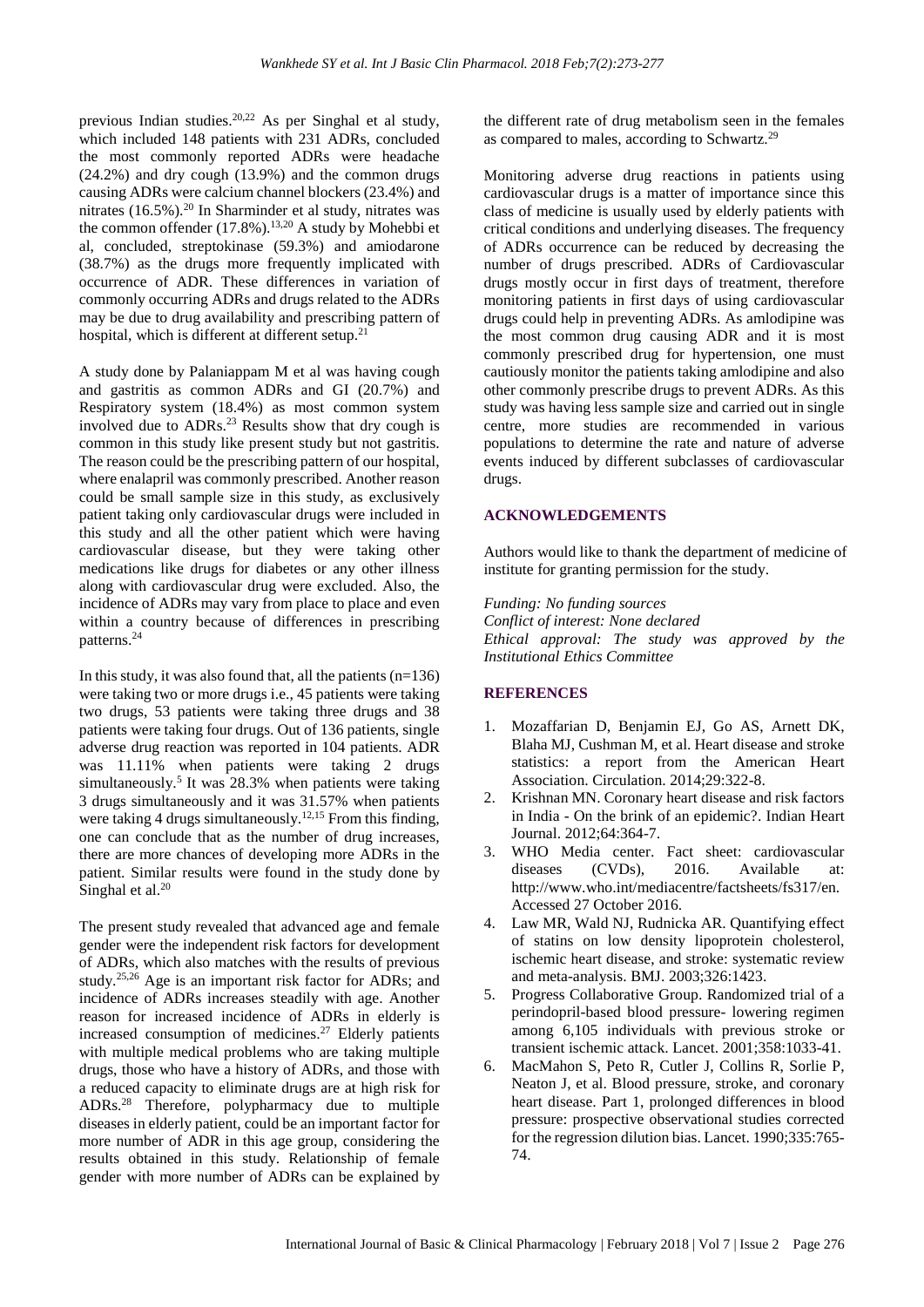previous Indian studies.20,22 As per Singhal et al study, which included 148 patients with 231 ADRs, concluded the most commonly reported ADRs were headache (24.2%) and dry cough (13.9%) and the common drugs causing ADRs were calcium channel blockers (23.4%) and nitrates (16.5%).<sup>20</sup> In Sharminder et al study, nitrates was the common offender (17.8%).<sup>13,20</sup> A study by Mohebbi et al, concluded, streptokinase (59.3%) and amiodarone (38.7%) as the drugs more frequently implicated with occurrence of ADR. These differences in variation of commonly occurring ADRs and drugs related to the ADRs may be due to drug availability and prescribing pattern of hospital, which is different at different setup.<sup>21</sup>

A study done by Palaniappam M et al was having cough and gastritis as common ADRs and GI (20.7%) and Respiratory system (18.4%) as most common system involved due to ADRs.<sup>23</sup> Results show that dry cough is common in this study like present study but not gastritis. The reason could be the prescribing pattern of our hospital, where enalapril was commonly prescribed. Another reason could be small sample size in this study, as exclusively patient taking only cardiovascular drugs were included in this study and all the other patient which were having cardiovascular disease, but they were taking other medications like drugs for diabetes or any other illness along with cardiovascular drug were excluded. Also, the incidence of ADRs may vary from place to place and even within a country because of differences in prescribing patterns. 24

In this study, it was also found that, all the patients  $(n=136)$ were taking two or more drugs i.e., 45 patients were taking two drugs, 53 patients were taking three drugs and 38 patients were taking four drugs. Out of 136 patients, single adverse drug reaction was reported in 104 patients. ADR was 11.11% when patients were taking 2 drugs simultaneously.<sup>5</sup> It was 28.3% when patients were taking 3 drugs simultaneously and it was 31.57% when patients were taking 4 drugs simultaneously.<sup>12,15</sup> From this finding, one can conclude that as the number of drug increases, there are more chances of developing more ADRs in the patient. Similar results were found in the study done by Singhal et al.<sup>20</sup>

The present study revealed that advanced age and female gender were the independent risk factors for development of ADRs, which also matches with the results of previous study.25,26 Age is an important risk factor for ADRs; and incidence of ADRs increases steadily with age. Another reason for increased incidence of ADRs in elderly is increased consumption of medicines.<sup>27</sup> Elderly patients with multiple medical problems who are taking multiple drugs, those who have a history of ADRs, and those with a reduced capacity to eliminate drugs are at high risk for ADRs.<sup>28</sup> Therefore, polypharmacy due to multiple diseases in elderly patient, could be an important factor for more number of ADR in this age group, considering the results obtained in this study. Relationship of female gender with more number of ADRs can be explained by the different rate of drug metabolism seen in the females as compared to males, according to Schwartz.<sup>29</sup>

Monitoring adverse drug reactions in patients using cardiovascular drugs is a matter of importance since this class of medicine is usually used by elderly patients with critical conditions and underlying diseases. The frequency of ADRs occurrence can be reduced by decreasing the number of drugs prescribed. ADRs of Cardiovascular drugs mostly occur in first days of treatment, therefore monitoring patients in first days of using cardiovascular drugs could help in preventing ADRs. As amlodipine was the most common drug causing ADR and it is most commonly prescribed drug for hypertension, one must cautiously monitor the patients taking amlodipine and also other commonly prescribe drugs to prevent ADRs. As this study was having less sample size and carried out in single centre, more studies are recommended in various populations to determine the rate and nature of adverse events induced by different subclasses of cardiovascular drugs.

#### **ACKNOWLEDGEMENTS**

Authors would like to thank the department of medicine of institute for granting permission for the study.

*Funding: No funding sources Conflict of interest: None declared Ethical approval: The study was approved by the Institutional Ethics Committee*

#### **REFERENCES**

- 1. Mozaffarian D, Benjamin EJ, Go AS, Arnett DK, Blaha MJ, Cushman M, et al. Heart disease and stroke statistics: a report from the American Heart Association. Circulation. 2014;29:322-8.
- 2. Krishnan MN. Coronary heart disease and risk factors in India - On the brink of an epidemic?. Indian Heart Journal. 2012;64:364-7.
- 3. WHO Media center. Fact sheet: cardiovascular diseases (CVDs), 2016. Available at: http://www.who.int/mediacentre/factsheets/fs317/en. Accessed 27 October 2016.
- 4. Law MR, Wald NJ, Rudnicka AR. Quantifying effect of statins on low density lipoprotein cholesterol, ischemic heart disease, and stroke: systematic review and meta-analysis. BMJ. 2003;326:1423.
- 5. Progress Collaborative Group. Randomized trial of a perindopril-based blood pressure- lowering regimen among 6,105 individuals with previous stroke or transient ischemic attack. Lancet. 2001;358:1033-41.
- 6. MacMahon S, Peto R, Cutler J, Collins R, Sorlie P, Neaton J, et al. Blood pressure, stroke, and coronary heart disease. Part 1, prolonged differences in blood pressure: prospective observational studies corrected for the regression dilution bias. Lancet. 1990;335:765- 74.